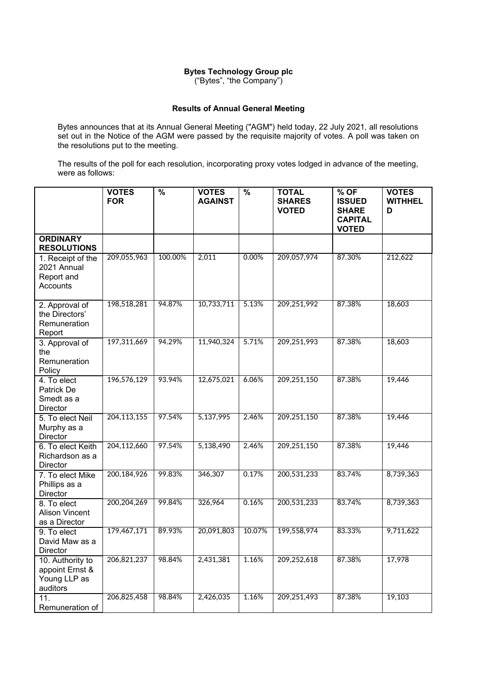## **Bytes Technology Group plc**

("Bytes", "the Company")

## **Results of Annual General Meeting**

Bytes announces that at its Annual General Meeting ("AGM") held today, 22 July 2021, all resolutions set out in the Notice of the AGM were passed by the requisite majority of votes. A poll was taken on the resolutions put to the meeting.

The results of the poll for each resolution, incorporating proxy votes lodged in advance of the meeting, were as follows:

|                                                                 | <b>VOTES</b><br><b>FOR</b> | $\frac{9}{6}$ | <b>VOTES</b><br><b>AGAINST</b> | $\frac{9}{6}$ | <b>TOTAL</b><br><b>SHARES</b><br><b>VOTED</b> | $%$ OF<br><b>ISSUED</b><br><b>SHARE</b><br><b>CAPITAL</b><br><b>VOTED</b> | <b>VOTES</b><br><b>WITHHEL</b><br>D |
|-----------------------------------------------------------------|----------------------------|---------------|--------------------------------|---------------|-----------------------------------------------|---------------------------------------------------------------------------|-------------------------------------|
| <b>ORDINARY</b><br><b>RESOLUTIONS</b>                           |                            |               |                                |               |                                               |                                                                           |                                     |
| 1. Receipt of the<br>2021 Annual<br>Report and<br>Accounts      | 209,055,963                | 100.00%       | 2,011                          | 0.00%         | 209,057,974                                   | 87.30%                                                                    | 212,622                             |
| 2. Approval of<br>the Directors'<br>Remuneration<br>Report      | 198,518,281                | 94.87%        | 10,733,711                     | 5.13%         | 209,251,992                                   | 87.38%                                                                    | 18,603                              |
| 3. Approval of<br>the<br>Remuneration<br>Policy                 | 197, 311, 669              | 94.29%        | 11,940,324                     | 5.71%         | 209,251,993                                   | 87.38%                                                                    | 18,603                              |
| 4. To elect<br>Patrick De<br>Smedt as a<br>Director             | 196,576,129                | 93.94%        | 12,675,021                     | 6.06%         | 209,251,150                                   | 87.38%                                                                    | 19,446                              |
| 5. To elect Neil<br>Murphy as a<br>Director                     | 204, 113, 155              | 97.54%        | 5,137,995                      | 2.46%         | 209,251,150                                   | 87.38%                                                                    | 19,446                              |
| 6. To elect Keith<br>Richardson as a<br>Director                | 204,112,660                | 97.54%        | 5,138,490                      | 2.46%         | 209,251,150                                   | 87.38%                                                                    | 19,446                              |
| 7. To elect Mike<br>Phillips as a<br>Director                   | 200, 184, 926              | 99.83%        | 346,307                        | 0.17%         | 200,531,233                                   | 83.74%                                                                    | 8,739,363                           |
| 8. To elect<br><b>Alison Vincent</b><br>as a Director           | 200, 204, 269              | 99.84%        | 326,964                        | 0.16%         | 200,531,233                                   | 83.74%                                                                    | 8,739,363                           |
| 9. To elect<br>David Maw as a<br>Director                       | 179,467,171                | 89.93%        | 20,091,803                     | 10.07%        | 199,558,974                                   | 83.33%                                                                    | 9,711,622                           |
| 10. Authority to<br>appoint Ernst &<br>Young LLP as<br>auditors | 206,821,237                | 98.84%        | 2,431,381                      | 1.16%         | 209,252,618                                   | 87.38%                                                                    | 17,978                              |
| 11.<br>Remuneration of                                          | 206,825,458                | 98.84%        | 2,426,035                      | 1.16%         | 209,251,493                                   | 87.38%                                                                    | 19,103                              |